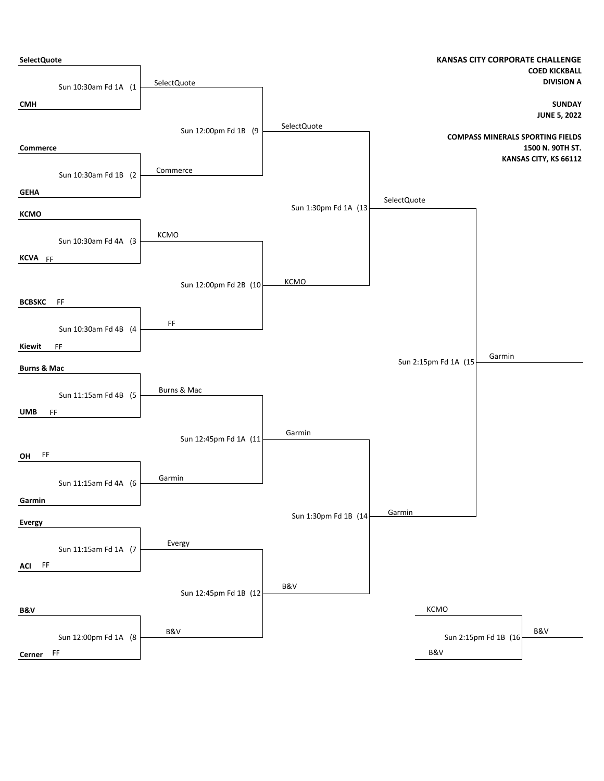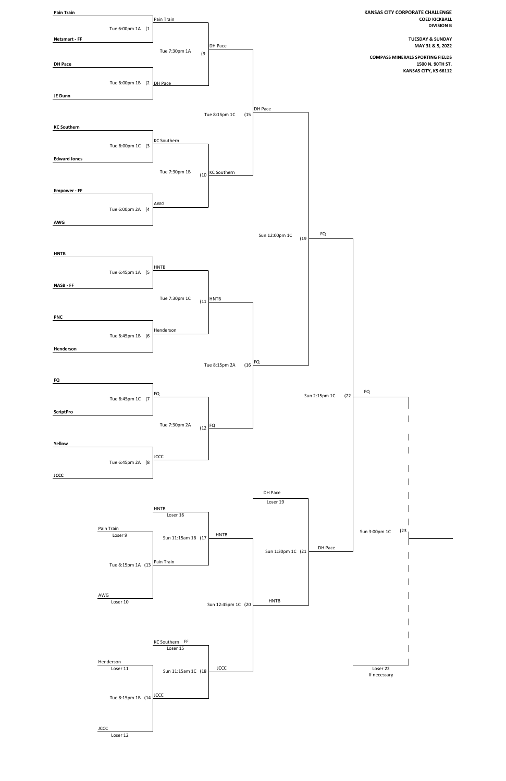

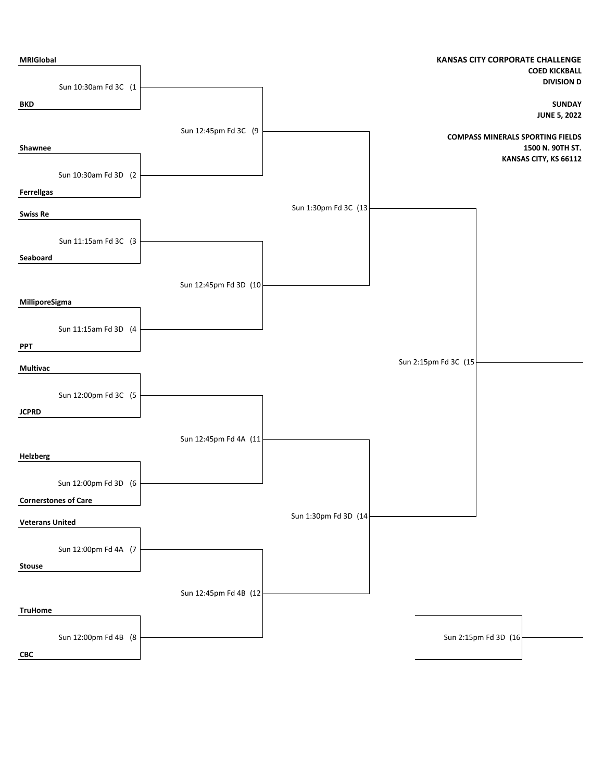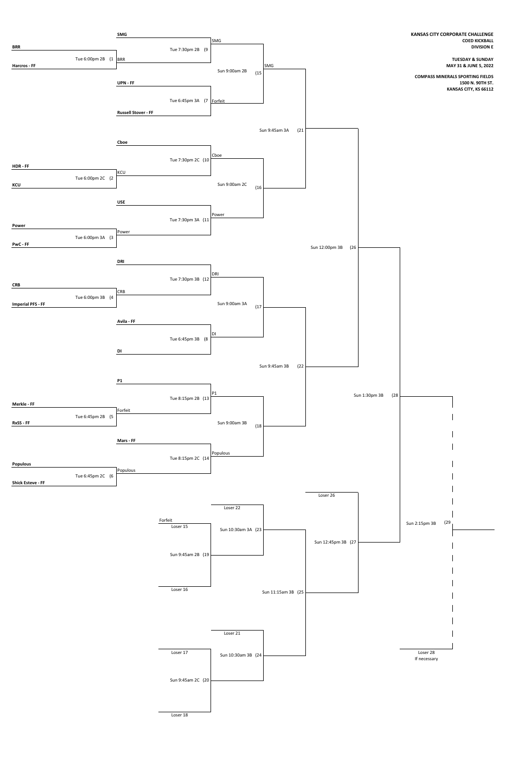

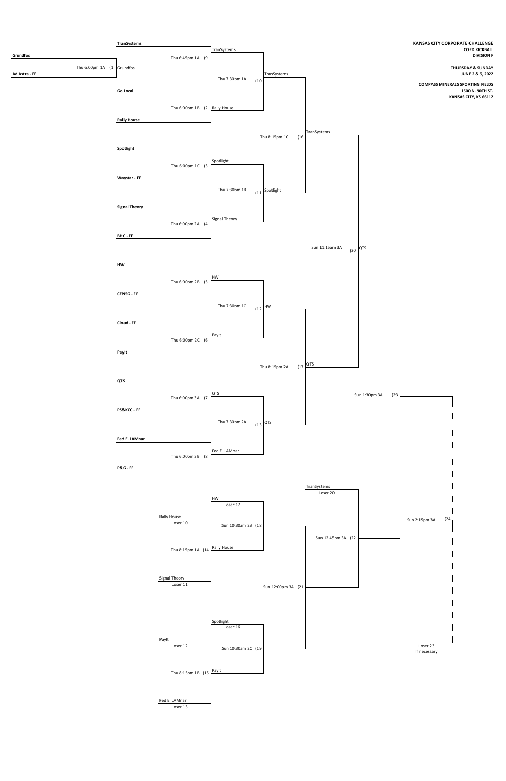